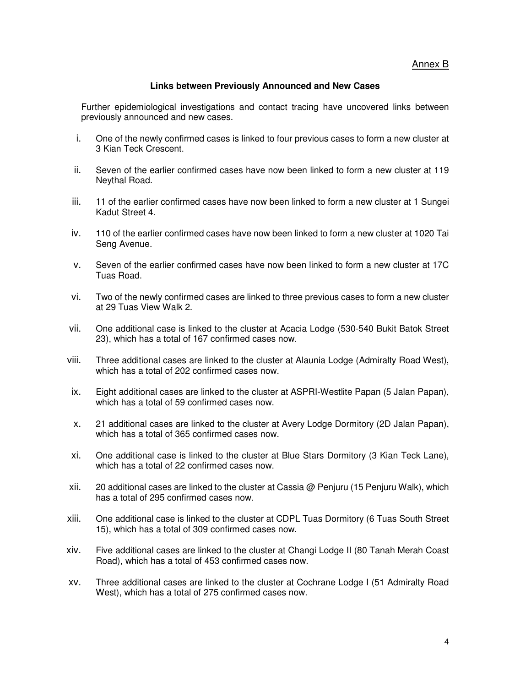Annex B

## **Links between Previously Announced and New Cases**

Further epidemiological investigations and contact tracing have uncovered links between previously announced and new cases.

- i. One of the newly confirmed cases is linked to four previous cases to form a new cluster at 3 Kian Teck Crescent.
- ii. Seven of the earlier confirmed cases have now been linked to form a new cluster at 119 Neythal Road.
- iii. 11 of the earlier confirmed cases have now been linked to form a new cluster at 1 Sungei Kadut Street 4.
- iv. 110 of the earlier confirmed cases have now been linked to form a new cluster at 1020 Tai Seng Avenue.
- v. Seven of the earlier confirmed cases have now been linked to form a new cluster at 17C Tuas Road.
- vi. Two of the newly confirmed cases are linked to three previous cases to form a new cluster at 29 Tuas View Walk 2.
- vii. One additional case is linked to the cluster at Acacia Lodge (530-540 Bukit Batok Street 23), which has a total of 167 confirmed cases now.
- viii. Three additional cases are linked to the cluster at Alaunia Lodge (Admiralty Road West), which has a total of 202 confirmed cases now.
- ix. Eight additional cases are linked to the cluster at ASPRI-Westlite Papan (5 Jalan Papan), which has a total of 59 confirmed cases now.
- x. 21 additional cases are linked to the cluster at Avery Lodge Dormitory (2D Jalan Papan), which has a total of 365 confirmed cases now.
- xi. One additional case is linked to the cluster at Blue Stars Dormitory (3 Kian Teck Lane), which has a total of 22 confirmed cases now.
- xii. 20 additional cases are linked to the cluster at Cassia @ Penjuru (15 Penjuru Walk), which has a total of 295 confirmed cases now.
- xiii. One additional case is linked to the cluster at CDPL Tuas Dormitory (6 Tuas South Street 15), which has a total of 309 confirmed cases now.
- xiv. Five additional cases are linked to the cluster at Changi Lodge II (80 Tanah Merah Coast Road), which has a total of 453 confirmed cases now.
- xv. Three additional cases are linked to the cluster at Cochrane Lodge I (51 Admiralty Road West), which has a total of 275 confirmed cases now.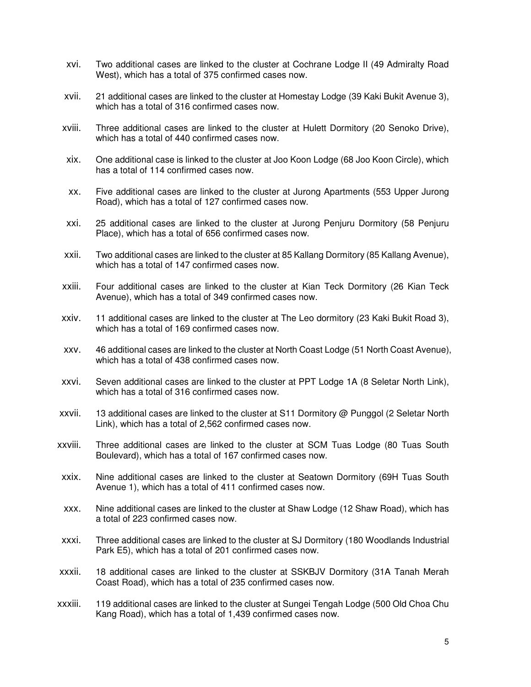- xvi. Two additional cases are linked to the cluster at Cochrane Lodge II (49 Admiralty Road West), which has a total of 375 confirmed cases now.
- xvii. 21 additional cases are linked to the cluster at Homestay Lodge (39 Kaki Bukit Avenue 3), which has a total of 316 confirmed cases now.
- xviii. Three additional cases are linked to the cluster at Hulett Dormitory (20 Senoko Drive), which has a total of 440 confirmed cases now.
- xix. One additional case is linked to the cluster at Joo Koon Lodge (68 Joo Koon Circle), which has a total of 114 confirmed cases now.
- xx. Five additional cases are linked to the cluster at Jurong Apartments (553 Upper Jurong Road), which has a total of 127 confirmed cases now.
- xxi. 25 additional cases are linked to the cluster at Jurong Penjuru Dormitory (58 Penjuru Place), which has a total of 656 confirmed cases now.
- xxii. Two additional cases are linked to the cluster at 85 Kallang Dormitory (85 Kallang Avenue), which has a total of 147 confirmed cases now.
- xxiii. Four additional cases are linked to the cluster at Kian Teck Dormitory (26 Kian Teck Avenue), which has a total of 349 confirmed cases now.
- xxiv. 11 additional cases are linked to the cluster at The Leo dormitory (23 Kaki Bukit Road 3), which has a total of 169 confirmed cases now.
- xxv. 46 additional cases are linked to the cluster at North Coast Lodge (51 North Coast Avenue), which has a total of 438 confirmed cases now.
- xxvi. Seven additional cases are linked to the cluster at PPT Lodge 1A (8 Seletar North Link), which has a total of 316 confirmed cases now.
- xxvii. 13 additional cases are linked to the cluster at S11 Dormitory @ Punggol (2 Seletar North Link), which has a total of 2,562 confirmed cases now.
- xxviii. Three additional cases are linked to the cluster at SCM Tuas Lodge (80 Tuas South Boulevard), which has a total of 167 confirmed cases now.
- xxix. Nine additional cases are linked to the cluster at Seatown Dormitory (69H Tuas South Avenue 1), which has a total of 411 confirmed cases now.
- xxx. Nine additional cases are linked to the cluster at Shaw Lodge (12 Shaw Road), which has a total of 223 confirmed cases now.
- xxxi. Three additional cases are linked to the cluster at SJ Dormitory (180 Woodlands Industrial Park E5), which has a total of 201 confirmed cases now.
- xxxii. 18 additional cases are linked to the cluster at SSKBJV Dormitory (31A Tanah Merah Coast Road), which has a total of 235 confirmed cases now.
- xxxiii. 119 additional cases are linked to the cluster at Sungei Tengah Lodge (500 Old Choa Chu Kang Road), which has a total of 1,439 confirmed cases now.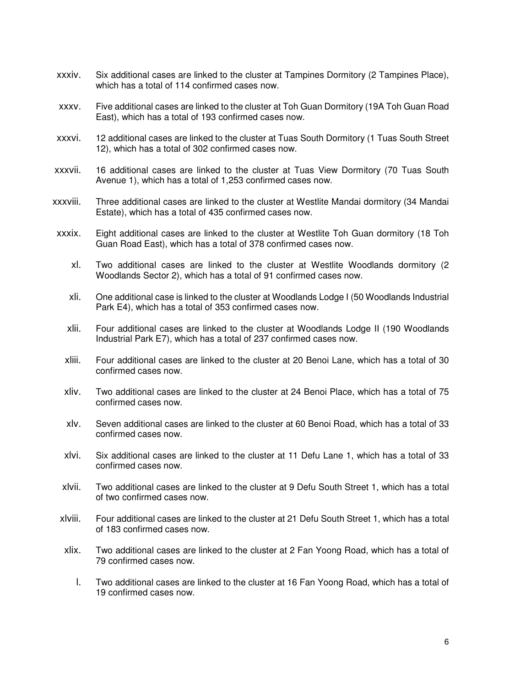- xxxiv. Six additional cases are linked to the cluster at Tampines Dormitory (2 Tampines Place), which has a total of 114 confirmed cases now.
- xxxv. Five additional cases are linked to the cluster at Toh Guan Dormitory (19A Toh Guan Road East), which has a total of 193 confirmed cases now.
- xxxvi. 12 additional cases are linked to the cluster at Tuas South Dormitory (1 Tuas South Street 12), which has a total of 302 confirmed cases now.
- xxxvii. 16 additional cases are linked to the cluster at Tuas View Dormitory (70 Tuas South Avenue 1), which has a total of 1,253 confirmed cases now.
- xxxviii. Three additional cases are linked to the cluster at Westlite Mandai dormitory (34 Mandai Estate), which has a total of 435 confirmed cases now.
- xxxix. Eight additional cases are linked to the cluster at Westlite Toh Guan dormitory (18 Toh Guan Road East), which has a total of 378 confirmed cases now.
	- xl. Two additional cases are linked to the cluster at Westlite Woodlands dormitory (2 Woodlands Sector 2), which has a total of 91 confirmed cases now.
	- xli. One additional case is linked to the cluster at Woodlands Lodge I (50 Woodlands Industrial Park E4), which has a total of 353 confirmed cases now.
	- xlii. Four additional cases are linked to the cluster at Woodlands Lodge II (190 Woodlands Industrial Park E7), which has a total of 237 confirmed cases now.
	- xliii. Four additional cases are linked to the cluster at 20 Benoi Lane, which has a total of 30 confirmed cases now.
	- xliv. Two additional cases are linked to the cluster at 24 Benoi Place, which has a total of 75 confirmed cases now.
	- xlv. Seven additional cases are linked to the cluster at 60 Benoi Road, which has a total of 33 confirmed cases now.
	- xlvi. Six additional cases are linked to the cluster at 11 Defu Lane 1, which has a total of 33 confirmed cases now.
	- xlvii. Two additional cases are linked to the cluster at 9 Defu South Street 1, which has a total of two confirmed cases now.
- xlviii. Four additional cases are linked to the cluster at 21 Defu South Street 1, which has a total of 183 confirmed cases now.
- xlix. Two additional cases are linked to the cluster at 2 Fan Yoong Road, which has a total of 79 confirmed cases now.
	- l. Two additional cases are linked to the cluster at 16 Fan Yoong Road, which has a total of 19 confirmed cases now.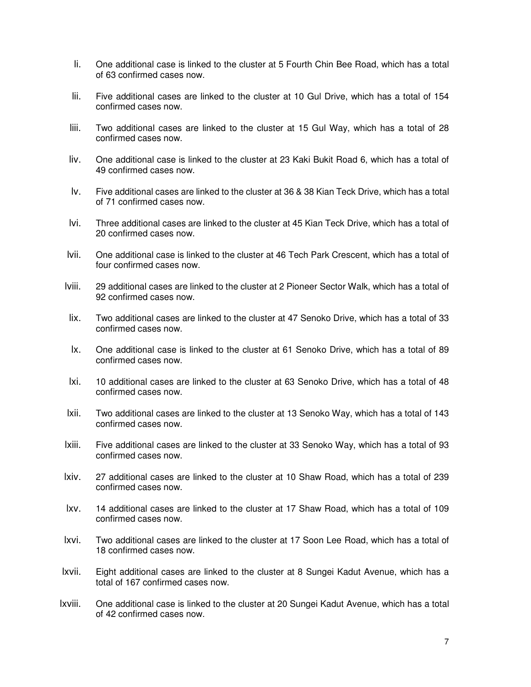- li. One additional case is linked to the cluster at 5 Fourth Chin Bee Road, which has a total of 63 confirmed cases now.
- lii. Five additional cases are linked to the cluster at 10 Gul Drive, which has a total of 154 confirmed cases now.
- liii. Two additional cases are linked to the cluster at 15 Gul Way, which has a total of 28 confirmed cases now.
- liv. One additional case is linked to the cluster at 23 Kaki Bukit Road 6, which has a total of 49 confirmed cases now.
- lv. Five additional cases are linked to the cluster at 36 & 38 Kian Teck Drive, which has a total of 71 confirmed cases now.
- lvi. Three additional cases are linked to the cluster at 45 Kian Teck Drive, which has a total of 20 confirmed cases now.
- lvii. One additional case is linked to the cluster at 46 Tech Park Crescent, which has a total of four confirmed cases now.
- lviii. 29 additional cases are linked to the cluster at 2 Pioneer Sector Walk, which has a total of 92 confirmed cases now.
- lix. Two additional cases are linked to the cluster at 47 Senoko Drive, which has a total of 33 confirmed cases now.
- lx. One additional case is linked to the cluster at 61 Senoko Drive, which has a total of 89 confirmed cases now.
- lxi. 10 additional cases are linked to the cluster at 63 Senoko Drive, which has a total of 48 confirmed cases now.
- lxii. Two additional cases are linked to the cluster at 13 Senoko Way, which has a total of 143 confirmed cases now.
- lxiii. Five additional cases are linked to the cluster at 33 Senoko Way, which has a total of 93 confirmed cases now.
- lxiv. 27 additional cases are linked to the cluster at 10 Shaw Road, which has a total of 239 confirmed cases now.
- lxv. 14 additional cases are linked to the cluster at 17 Shaw Road, which has a total of 109 confirmed cases now.
- lxvi. Two additional cases are linked to the cluster at 17 Soon Lee Road, which has a total of 18 confirmed cases now.
- lxvii. Eight additional cases are linked to the cluster at 8 Sungei Kadut Avenue, which has a total of 167 confirmed cases now.
- lxviii. One additional case is linked to the cluster at 20 Sungei Kadut Avenue, which has a total of 42 confirmed cases now.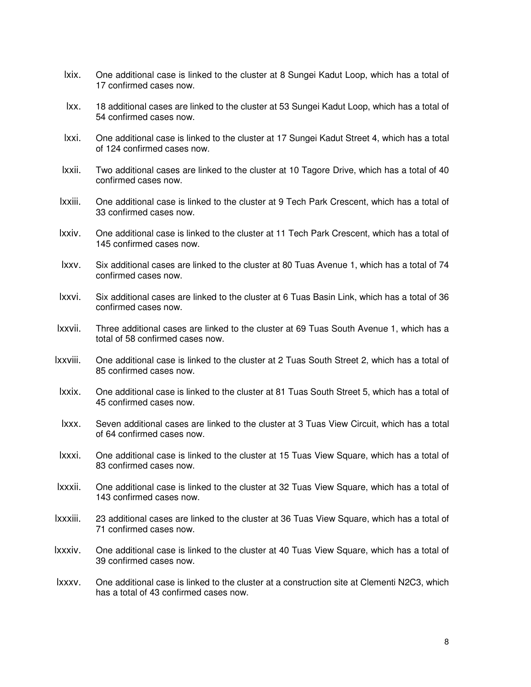- lxix. One additional case is linked to the cluster at 8 Sungei Kadut Loop, which has a total of 17 confirmed cases now.
- lxx. 18 additional cases are linked to the cluster at 53 Sungei Kadut Loop, which has a total of 54 confirmed cases now.
- lxxi. One additional case is linked to the cluster at 17 Sungei Kadut Street 4, which has a total of 124 confirmed cases now.
- lxxii. Two additional cases are linked to the cluster at 10 Tagore Drive, which has a total of 40 confirmed cases now.
- lxxiii. One additional case is linked to the cluster at 9 Tech Park Crescent, which has a total of 33 confirmed cases now.
- lxxiv. One additional case is linked to the cluster at 11 Tech Park Crescent, which has a total of 145 confirmed cases now.
- lxxv. Six additional cases are linked to the cluster at 80 Tuas Avenue 1, which has a total of 74 confirmed cases now.
- lxxvi. Six additional cases are linked to the cluster at 6 Tuas Basin Link, which has a total of 36 confirmed cases now.
- lxxvii. Three additional cases are linked to the cluster at 69 Tuas South Avenue 1, which has a total of 58 confirmed cases now.
- lxxviii. One additional case is linked to the cluster at 2 Tuas South Street 2, which has a total of 85 confirmed cases now.
- lxxix. One additional case is linked to the cluster at 81 Tuas South Street 5, which has a total of 45 confirmed cases now.
- lxxx. Seven additional cases are linked to the cluster at 3 Tuas View Circuit, which has a total of 64 confirmed cases now.
- lxxxi. One additional case is linked to the cluster at 15 Tuas View Square, which has a total of 83 confirmed cases now.
- lxxxii. One additional case is linked to the cluster at 32 Tuas View Square, which has a total of 143 confirmed cases now.
- lxxxiii. 23 additional cases are linked to the cluster at 36 Tuas View Square, which has a total of 71 confirmed cases now.
- lxxxiv. One additional case is linked to the cluster at 40 Tuas View Square, which has a total of 39 confirmed cases now.
- lxxxv. One additional case is linked to the cluster at a construction site at Clementi N2C3, which has a total of 43 confirmed cases now.